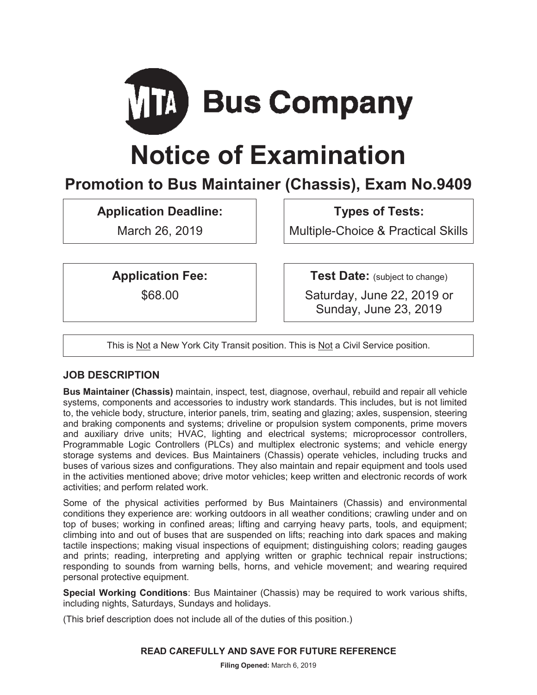

# **Notice of Examination**

# **Promotion to Bus Maintainer (Chassis), Exam No.9409**

**Application Deadline:** 

March 26, 2019

**Types of Tests:** 

Multiple-Choice & Practical Skills

**Application Fee:** 

\$68.00

**Test Date:** (subject to change)

Saturday, June 22, 2019 or Sunday, June 23, 2019

This is Not a New York City Transit position. This is Not a Civil Service position.

# **JOB DESCRIPTION**

**Bus Maintainer (Chassis)** maintain, inspect, test, diagnose, overhaul, rebuild and repair all vehicle systems, components and accessories to industry work standards. This includes, but is not limited to, the vehicle body, structure, interior panels, trim, seating and glazing; axles, suspension, steering and braking components and systems; driveline or propulsion system components, prime movers and auxiliary drive units; HVAC, lighting and electrical systems; microprocessor controllers, Programmable Logic Controllers (PLCs) and multiplex electronic systems; and vehicle energy storage systems and devices. Bus Maintainers (Chassis) operate vehicles, including trucks and buses of various sizes and configurations. They also maintain and repair equipment and tools used in the activities mentioned above; drive motor vehicles; keep written and electronic records of work activities; and perform related work.

Some of the physical activities performed by Bus Maintainers (Chassis) and environmental conditions they experience are: working outdoors in all weather conditions; crawling under and on top of buses; working in confined areas; lifting and carrying heavy parts, tools, and equipment; climbing into and out of buses that are suspended on lifts; reaching into dark spaces and making tactile inspections; making visual inspections of equipment; distinguishing colors; reading gauges and prints; reading, interpreting and applying written or graphic technical repair instructions; responding to sounds from warning bells, horns, and vehicle movement; and wearing required personal protective equipment.

**Special Working Conditions**: Bus Maintainer (Chassis) may be required to work various shifts, including nights, Saturdays, Sundays and holidays.

(This brief description does not include all of the duties of this position.)

# **READ CAREFULLY AND SAVE FOR FUTURE REFERENCE**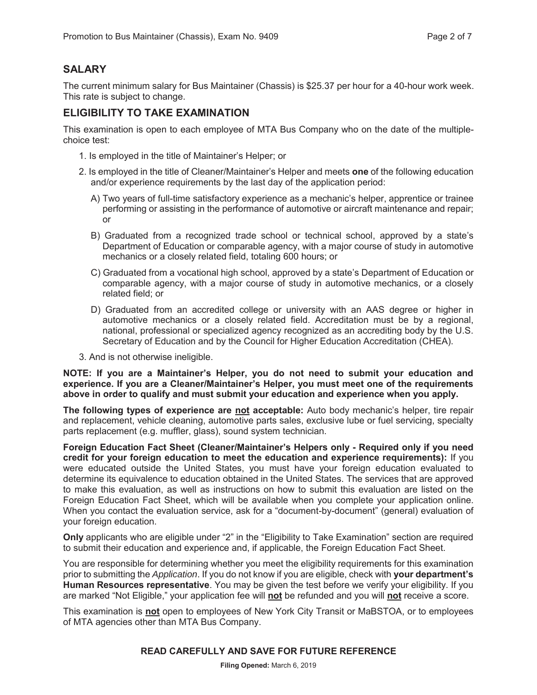# **SALARY**

The current minimum salary for Bus Maintainer (Chassis) is \$25.37 per hour for a 40-hour work week. This rate is subject to change.

# **ELIGIBILITY TO TAKE EXAMINATION**

This examination is open to each employee of MTA Bus Company who on the date of the multiplechoice test:

- 1. Is employed in the title of Maintainer's Helper; or
- 2. Is employed in the title of Cleaner/Maintainer's Helper and meets **one** of the following education and/or experience requirements by the last day of the application period:
	- A) Two years of full-time satisfactory experience as a mechanic's helper, apprentice or trainee performing or assisting in the performance of automotive or aircraft maintenance and repair; or
	- B) Graduated from a recognized trade school or technical school, approved by a state's Department of Education or comparable agency, with a major course of study in automotive mechanics or a closely related field, totaling 600 hours; or
	- C) Graduated from a vocational high school, approved by a state's Department of Education or comparable agency, with a major course of study in automotive mechanics, or a closely related field; or
	- D) Graduated from an accredited college or university with an AAS degree or higher in automotive mechanics or a closely related field. Accreditation must be by a regional, national, professional or specialized agency recognized as an accrediting body by the U.S. Secretary of Education and by the Council for Higher Education Accreditation (CHEA).
- 3. And is not otherwise ineligible.

**NOTE: If you are a Maintainer's Helper, you do not need to submit your education and experience. If you are a Cleaner/Maintainer's Helper, you must meet one of the requirements above in order to qualify and must submit your education and experience when you apply.** 

**The following types of experience are not acceptable:** Auto body mechanic's helper, tire repair and replacement, vehicle cleaning, automotive parts sales, exclusive lube or fuel servicing, specialty parts replacement (e.g. muffler, glass), sound system technician.

**Foreign Education Fact Sheet (Cleaner/Maintainer's Helpers only - Required only if you need credit for your foreign education to meet the education and experience requirements):** If you were educated outside the United States, you must have your foreign education evaluated to determine its equivalence to education obtained in the United States. The services that are approved to make this evaluation, as well as instructions on how to submit this evaluation are listed on the Foreign Education Fact Sheet, which will be available when you complete your application online. When you contact the evaluation service, ask for a "document-by-document" (general) evaluation of your foreign education.

**Only** applicants who are eligible under "2" in the "Eligibility to Take Examination" section are required to submit their education and experience and, if applicable, the Foreign Education Fact Sheet.

You are responsible for determining whether you meet the eligibility requirements for this examination prior to submitting the *Application*. If you do not know if you are eligible, check with **your department's Human Resources representative**. You may be given the test before we verify your eligibility. If you are marked "Not Eligible," your application fee will **not** be refunded and you will **not** receive a score.

This examination is **not** open to employees of New York City Transit or MaBSTOA, or to employees of MTA agencies other than MTA Bus Company.

#### **READ CAREFULLY AND SAVE FOR FUTURE REFERENCE**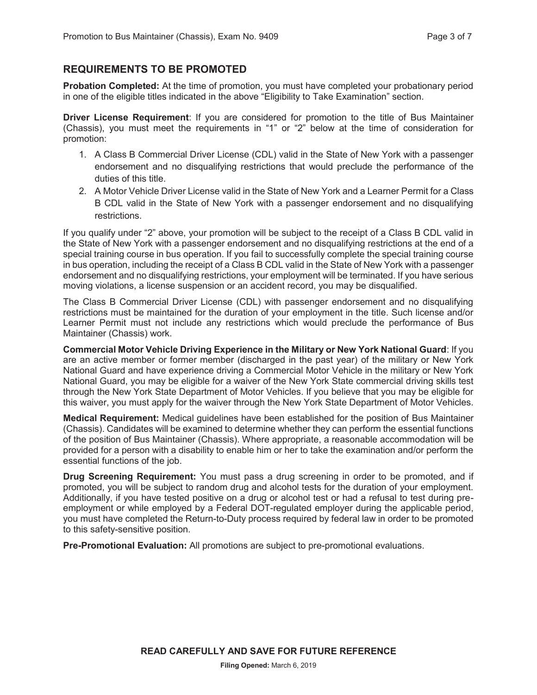#### **REQUIREMENTS TO BE PROMOTED**

**Probation Completed:** At the time of promotion, you must have completed your probationary period in one of the eligible titles indicated in the above "Eligibility to Take Examination" section.

**Driver License Requirement**: If you are considered for promotion to the title of Bus Maintainer (Chassis), you must meet the requirements in "1" or "2" below at the time of consideration for promotion:

- 1. A Class B Commercial Driver License (CDL) valid in the State of New York with a passenger endorsement and no disqualifying restrictions that would preclude the performance of the duties of this title.
- 2. A Motor Vehicle Driver License valid in the State of New York and a Learner Permit for a Class B CDL valid in the State of New York with a passenger endorsement and no disqualifying restrictions.

If you qualify under "2" above, your promotion will be subject to the receipt of a Class B CDL valid in the State of New York with a passenger endorsement and no disqualifying restrictions at the end of a special training course in bus operation. If you fail to successfully complete the special training course in bus operation, including the receipt of a Class B CDL valid in the State of New York with a passenger endorsement and no disqualifying restrictions, your employment will be terminated. If you have serious moving violations, a license suspension or an accident record, you may be disqualified.

The Class B Commercial Driver License (CDL) with passenger endorsement and no disqualifying restrictions must be maintained for the duration of your employment in the title. Such license and/or Learner Permit must not include any restrictions which would preclude the performance of Bus Maintainer (Chassis) work.

**Commercial Motor Vehicle Driving Experience in the Military or New York National Guard**: If you are an active member or former member (discharged in the past year) of the military or New York National Guard and have experience driving a Commercial Motor Vehicle in the military or New York National Guard, you may be eligible for a waiver of the New York State commercial driving skills test through the New York State Department of Motor Vehicles. If you believe that you may be eligible for this waiver, you must apply for the waiver through the New York State Department of Motor Vehicles.

**Medical Requirement:** Medical guidelines have been established for the position of Bus Maintainer (Chassis). Candidates will be examined to determine whether they can perform the essential functions of the position of Bus Maintainer (Chassis). Where appropriate, a reasonable accommodation will be provided for a person with a disability to enable him or her to take the examination and/or perform the essential functions of the job.

**Drug Screening Requirement:** You must pass a drug screening in order to be promoted, and if promoted, you will be subject to random drug and alcohol tests for the duration of your employment. Additionally, if you have tested positive on a drug or alcohol test or had a refusal to test during preemployment or while employed by a Federal DOT-regulated employer during the applicable period, you must have completed the Return-to-Duty process required by federal law in order to be promoted to this safety-sensitive position.

**Pre-Promotional Evaluation:** All promotions are subject to pre-promotional evaluations.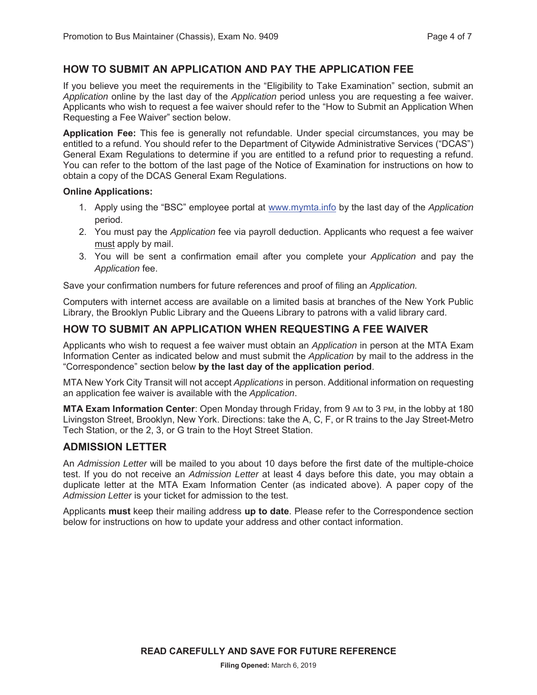# **HOW TO SUBMIT AN APPLICATION AND PAY THE APPLICATION FEE**

If you believe you meet the requirements in the "Eligibility to Take Examination" section, submit an *Application* online by the last day of the *Application* period unless you are requesting a fee waiver. Applicants who wish to request a fee waiver should refer to the "How to Submit an Application When Requesting a Fee Waiver" section below.

**Application Fee:** This fee is generally not refundable. Under special circumstances, you may be entitled to a refund. You should refer to the Department of Citywide Administrative Services ("DCAS") General Exam Regulations to determine if you are entitled to a refund prior to requesting a refund. You can refer to the bottom of the last page of the Notice of Examination for instructions on how to obtain a copy of the DCAS General Exam Regulations.

#### **Online Applications:**

- 1. Apply using the "BSC" employee portal at www.mymta.info by the last day of the *Application*  period.
- 2. You must pay the *Application* fee via payroll deduction. Applicants who request a fee waiver must apply by mail.
- 3. You will be sent a confirmation email after you complete your *Application* and pay the *Application* fee.

Save your confirmation numbers for future references and proof of filing an *Application.*

Computers with internet access are available on a limited basis at branches of the New York Public Library, the Brooklyn Public Library and the Queens Library to patrons with a valid library card.

#### **HOW TO SUBMIT AN APPLICATION WHEN REQUESTING A FEE WAIVER**

Applicants who wish to request a fee waiver must obtain an *Application* in person at the MTA Exam Information Center as indicated below and must submit the *Application* by mail to the address in the "Correspondence" section below **by the last day of the application period**.

MTA New York City Transit will not accept *Applications* in person. Additional information on requesting an application fee waiver is available with the *Application*.

**MTA Exam Information Center**: Open Monday through Friday, from 9 AM to 3 PM, in the lobby at 180 Livingston Street, Brooklyn, New York. Directions: take the A, C, F, or R trains to the Jay Street-Metro Tech Station, or the 2, 3, or G train to the Hoyt Street Station.

#### **ADMISSION LETTER**

An *Admission Letter* will be mailed to you about 10 days before the first date of the multiple-choice test. If you do not receive an *Admission Letter* at least 4 days before this date, you may obtain a duplicate letter at the MTA Exam Information Center (as indicated above). A paper copy of the *Admission Letter* is your ticket for admission to the test.

Applicants **must** keep their mailing address **up to date**. Please refer to the Correspondence section below for instructions on how to update your address and other contact information.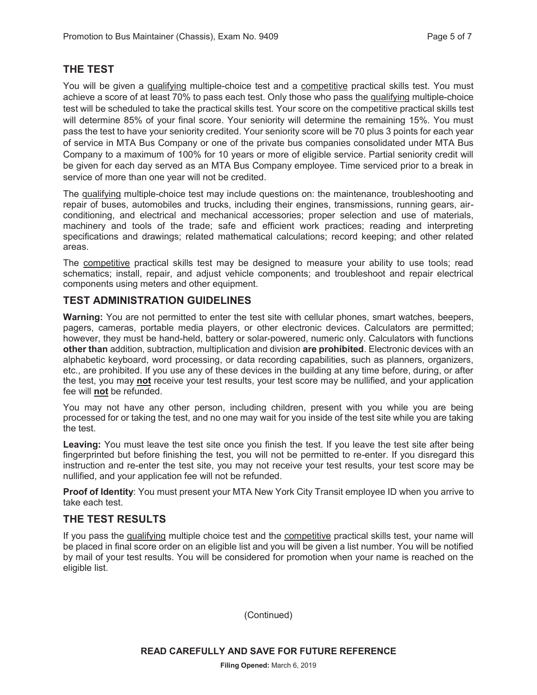# **THE TEST**

You will be given a qualifying multiple-choice test and a competitive practical skills test. You must achieve a score of at least 70% to pass each test. Only those who pass the qualifying multiple-choice test will be scheduled to take the practical skills test. Your score on the competitive practical skills test will determine 85% of your final score. Your seniority will determine the remaining 15%. You must pass the test to have your seniority credited. Your seniority score will be 70 plus 3 points for each year of service in MTA Bus Company or one of the private bus companies consolidated under MTA Bus Company to a maximum of 100% for 10 years or more of eligible service. Partial seniority credit will be given for each day served as an MTA Bus Company employee. Time serviced prior to a break in service of more than one year will not be credited.

The qualifying multiple-choice test may include questions on: the maintenance, troubleshooting and repair of buses, automobiles and trucks, including their engines, transmissions, running gears, airconditioning, and electrical and mechanical accessories; proper selection and use of materials, machinery and tools of the trade; safe and efficient work practices; reading and interpreting specifications and drawings; related mathematical calculations; record keeping; and other related areas.

The competitive practical skills test may be designed to measure your ability to use tools; read schematics; install, repair, and adjust vehicle components; and troubleshoot and repair electrical components using meters and other equipment.

# **TEST ADMINISTRATION GUIDELINES**

**Warning:** You are not permitted to enter the test site with cellular phones, smart watches, beepers, pagers, cameras, portable media players, or other electronic devices. Calculators are permitted; however, they must be hand-held, battery or solar-powered, numeric only. Calculators with functions **other than** addition, subtraction, multiplication and division **are prohibited**. Electronic devices with an alphabetic keyboard, word processing, or data recording capabilities, such as planners, organizers, etc., are prohibited. If you use any of these devices in the building at any time before, during, or after the test, you may **not** receive your test results, your test score may be nullified, and your application fee will **not** be refunded.

You may not have any other person, including children, present with you while you are being processed for or taking the test, and no one may wait for you inside of the test site while you are taking the test.

**Leaving:** You must leave the test site once you finish the test. If you leave the test site after being fingerprinted but before finishing the test, you will not be permitted to re-enter. If you disregard this instruction and re-enter the test site, you may not receive your test results, your test score may be nullified, and your application fee will not be refunded.

**Proof of Identity**: You must present your MTA New York City Transit employee ID when you arrive to take each test.

#### **THE TEST RESULTS**

If you pass the qualifying multiple choice test and the competitive practical skills test, your name will be placed in final score order on an eligible list and you will be given a list number. You will be notified by mail of your test results. You will be considered for promotion when your name is reached on the eligible list.

(Continued)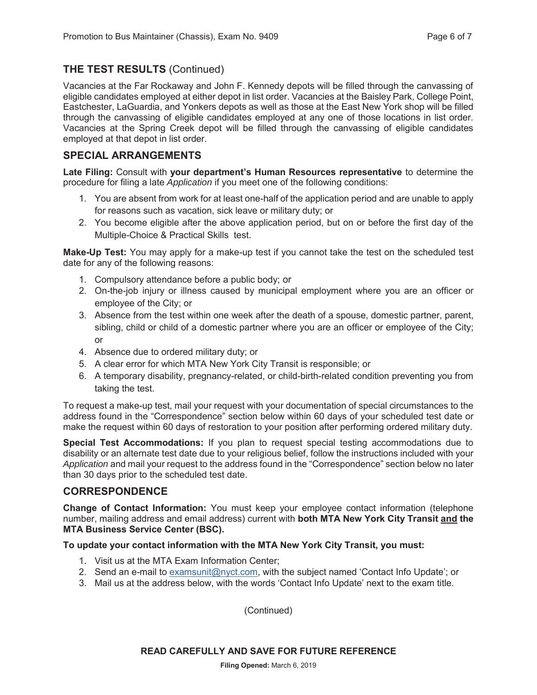# **THE TEST RESULTS** (Continued)

Vacancies at the Far Rockaway and John F. Kennedy depots will be filled through the canvassing of eligible candidates employed at either depot in list order. Vacancies at the Baisley Park, College Point, Eastchester, LaGuardia, and Yonkers depots as well as those at the East New York shop will be filled through the canvassing of eligible candidates employed at any one of those locations in list order. Vacancies at the Spring Creek depot will be filled through the canvassing of eligible candidates employed at that depot in list order.

# **SPECIAL ARRANGEMENTS**

**Late Filing:** Consult with **your department's Human Resources representative** to determine the procedure for filing a late *Application* if you meet one of the following conditions:

- 1. You are absent from work for at least one-half of the application period and are unable to apply for reasons such as vacation, sick leave or military duty; or
- 2. You become eligible after the above application period, but on or before the first day of the Multiple-Choice & Practical Skills test.

**Make-Up Test:** You may apply for a make-up test if you cannot take the test on the scheduled test date for any of the following reasons:

- 1. Compulsory attendance before a public body; or
- 2. On-the-job injury or illness caused by municipal employment where you are an officer or employee of the City; or
- 3. Absence from the test within one week after the death of a spouse, domestic partner, parent, sibling, child or child of a domestic partner where you are an officer or employee of the City; or
- 4. Absence due to ordered military duty; or
- 5. A clear error for which MTA New York City Transit is responsible; or
- 6. A temporary disability, pregnancy-related, or child-birth-related condition preventing you from taking the test.

To request a make-up test, mail your request with your documentation of special circumstances to the address found in the "Correspondence" section below within 60 days of your scheduled test date or make the request within 60 days of restoration to your position after performing ordered military duty.

**Special Test Accommodations:** If you plan to request special testing accommodations due to disability or an alternate test date due to your religious belief, follow the instructions included with your *Application* and mail your request to the address found in the "Correspondence" section below no later than 30 days prior to the scheduled test date.

# **CORRESPONDENCE**

**Change of Contact Information:** You must keep your employee contact information (telephone number, mailing address and email address) current with **both MTA New York City Transit and the MTA Business Service Center (BSC).**

#### **To update your contact information with the MTA New York City Transit, you must:**

- 1. Visit us at the MTA Exam Information Center;
- 2. Send an e-mail to examsunit@nyct.com, with the subject named 'Contact Info Update'; or
- 3. Mail us at the address below, with the words 'Contact Info Update' next to the exam title.

(Continued)

**READ CAREFULLY AND SAVE FOR FUTURE REFERENCE**